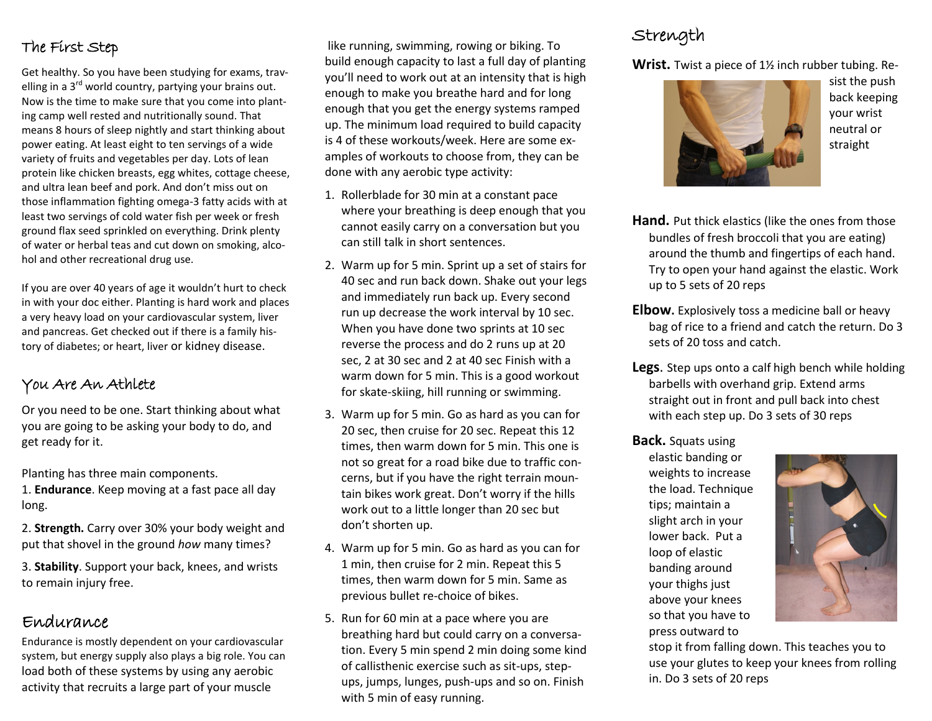#### The First Step

Get healthy. So you have been studying for exams, travelling in a  $3<sup>rd</sup>$  world country, partying your brains out. Now is the time to make sure that you come into planting camp well rested and nutritionally sound. That means 8 hours of sleep nightly and start thinking about power eating. At least eight to ten servings of a wide variety of fruits and vegetables per day. Lots of lean protein like chicken breasts, egg whites, cottage cheese, and ultra lean beef and pork. And don't miss out on those inflammation fighting omega-3 fatty acids with at least two servings of cold water fish per week or fresh ground flax seed sprinkled on everything. Drink plenty of water or herbal teas and cut down on smoking, alcohol and other recreational drug use.

If you are over 40 years of age it wouldn't hurt to check in with your doc either. Planting is hard work and places a very heavy load on your cardiovascular system, liver and pancreas. Get checked out if there is a family history of diabetes; or heart, liver or kidney disease.

#### You Are An Athlete

Or you need to be one. Start thinking about what you are going to be asking your body to do, and get ready for it.

Planting has three main components.

1. **Endurance**. Keep moving at a fast pace all day long.

2. **Strength.** Carry over 30% your body weight and put that shovel in the ground *how* many times?

3. **Stability**. Support your back, knees, and wrists to remain injury free.

#### Endurance

Endurance is mostly dependent on your cardiovascular system, but energy supply also plays a big role. You can load both of these systems by using any aerobic activity that recruits a large part of your muscle

like running, swimming, rowing or biking. To build enough capacity to last a full day of planting you'll need to work out at an intensity that is high enough to make you breathe hard and for long enough that you get the energy systems ramped up. The minimum load required to build capacity is 4 of these workouts/week. Here are some examples of workouts to choose from, they can be done with any aerobic type activity:

- 1. Rollerblade for 30 min at a constant pace where your breathing is deep enough that you cannot easily carry on a conversation but you can still talk in short sentences.
- 2. Warm up for 5 min. Sprint up a set of stairs for 40 sec and run back down. Shake out your legs and immediately run back up. Every second run up decrease the work interval by 10 sec. When you have done two sprints at 10 sec reverse the process and do 2 runs up at 20 sec, 2 at 30 sec and 2 at 40 sec Finish with a warm down for 5 min. This is a good workout for skate-skiing, hill running or swimming.
- 3. Warm up for 5 min. Go as hard as you can for 20 sec, then cruise for 20 sec. Repeat this 12 times, then warm down for 5 min. This one is not so great for a road bike due to traffic concerns, but if you have the right terrain mountain bikes work great. Don't worry if the hills work out to a little longer than 20 sec but don't shorten up.
- 4. Warm up for 5 min. Go as hard as you can for 1 min, then cruise for 2 min. Repeat this 5 times, then warm down for 5 min. Same as previous bullet re-choice of bikes.
- 5. Run for 60 min at a pace where you are breathing hard but could carry on a conversation. Every 5 min spend 2 min doing some kind of callisthenic exercise such as sit-ups, stepups, jumps, lunges, push-ups and so on. Finish with 5 min of easy running.

## Strength

**Wrist.** Twist a piece of 1½ inch rubber tubing. Re-



sist the push back keeping your wrist neutral or straight

- **Hand.** Put thick elastics (like the ones from those bundles of fresh broccoli that you are eating) around the thumb and fingertips of each hand. Try to open your hand against the elastic. Work up to 5 sets of 20 reps
- **Elbow.** Explosively toss a medicine ball or heavy bag of rice to a friend and catch the return. Do 3 sets of 20 toss and catch.
- **Legs**. Step ups onto a calf high bench while holding barbells with overhand grip. Extend arms straight out in front and pull back into chest with each step up. Do 3 sets of 30 reps

#### **Back.** Squats using

elastic banding or weights to increase the load. Technique tips; maintain a slight arch in your lower back. Put a loop of elastic banding around your thighs just above your knees so that you have to press outward to



stop it from falling down. This teaches you to use your glutes to keep your knees from rolling in. Do 3 sets of 20 reps